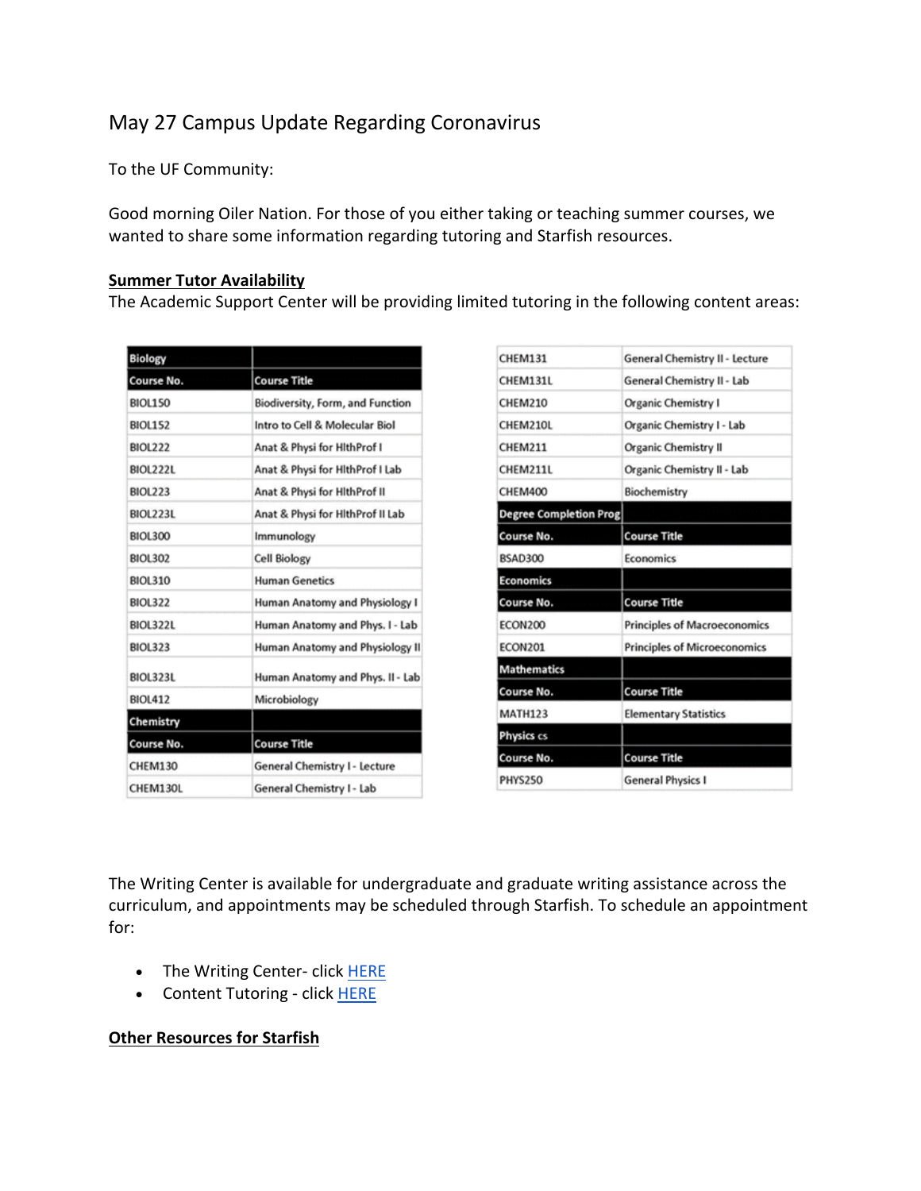## May 27 Campus Update Regarding Coronavirus

To the UF Community:

Good morning Oiler Nation. For those of you either taking or teaching summer courses, we wanted to share some information regarding tutoring and Starfish resources.

## **Summer Tutor Availability**

The Academic Support Center will be providing limited tutoring in the following content areas:

| <b>Biology</b>  |                                  |
|-----------------|----------------------------------|
| Course No.      | <b>Course Title</b>              |
| <b>BIOL150</b>  | Biodiversity, Form, and Function |
| <b>BIOL152</b>  | Intro to Cell & Molecular Biol   |
| <b>BIOL222</b>  | Anat & Physi for HithProf I      |
| <b>BIOL222L</b> | Anat & Physi for HithProf I Lab  |
| <b>BIOL223</b>  | Anat & Physi for HithProf II     |
| <b>BIOL223L</b> | Anat & Physi for HithProf II Lab |
| <b>BIOL300</b>  | Immunology                       |
| <b>BIOL302</b>  | <b>Cell Biology</b>              |
| <b>BIOL310</b>  | <b>Human Genetics</b>            |
| <b>BIOL322</b>  | Human Anatomy and Physiology I   |
| <b>BIOL322L</b> | Human Anatomy and Phys. I - Lab  |
| <b>BIOL323</b>  | Human Anatomy and Physiology II  |
| <b>BIOL323L</b> | Human Anatomy and Phys. II - Lab |
| <b>BIOL412</b>  | Microbiology                     |
| Chemistry       |                                  |
| Course No.      | <b>Course Title</b>              |
| <b>CHEM130</b>  | General Chemistry I - Lecture    |
| CHEM130L        | General Chemistry I - Lab        |

| <b>CHEM131</b>         | General Chemistry II - Lecture      |
|------------------------|-------------------------------------|
| CHEM131L               | General Chemistry II - Lab          |
| <b>CHEM210</b>         | <b>Organic Chemistry I</b>          |
| CHEM210L               | Organic Chemistry I - Lab           |
| <b>CHEM211</b>         | <b>Organic Chemistry II</b>         |
| CHEM211L               | Organic Chemistry II - Lab          |
| <b>CHEM400</b>         | Biochemistry                        |
| Degree Completion Prog |                                     |
| Course No.             | <b>Course Title</b>                 |
| <b>BSAD300</b>         | Economics                           |
| <b>Economics</b>       |                                     |
| Course No.             | <b>Course Title</b>                 |
| <b>ECON200</b>         | <b>Principles of Macroeconomics</b> |
| <b>ECON201</b>         | <b>Principles of Microeconomics</b> |
| <b>Mathematics</b>     |                                     |
| Course No.             | <b>Course Title</b>                 |
| <b>MATH123</b>         | <b>Elementary Statistics</b>        |
| Physics cs             |                                     |
| Course No.             | <b>Course Title</b>                 |
|                        |                                     |

The Writing Center is available for undergraduate and graduate writing assistance across the curriculum, and appointments may be scheduled through Starfish. To schedule an appointment for:

- The Writing Center- click HERE
- Content Tutoring click HERE

## **Other Resources for Starfish**